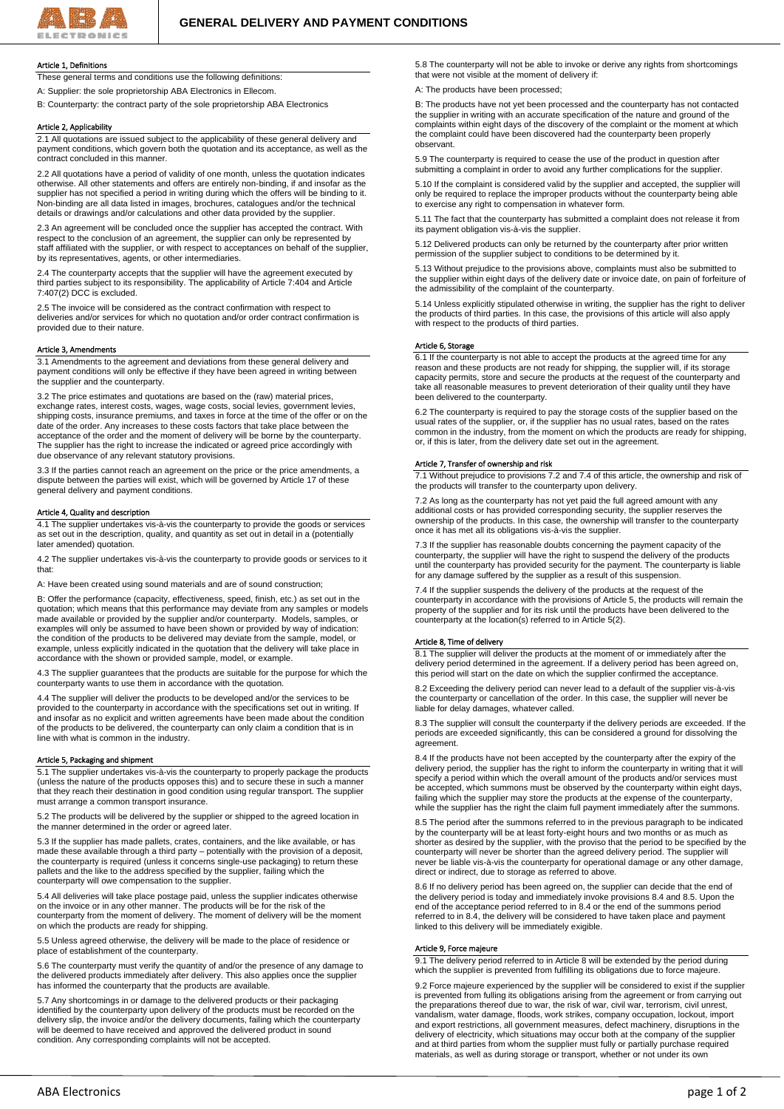

## Article 1, Definitions

These general terms and conditions use the following definitions: A: Supplier: the sole proprietorship ABA Electronics in Ellecom.

B: Counterparty: the contract party of the sole proprietorship ABA Electronics

## Article 2, Applicability

2.1 All quotations are issued subject to the applicability of these general delivery and payment conditions, which govern both the quotation and its acceptance, as well as the contract concluded in this manner.

2.2 All quotations have a period of validity of one month, unless the quotation indicates otherwise. All other statements and offers are entirely non-binding, if and insofar as the supplier has not specified a period in writing during which the offers will be binding to it. Non-binding are all data listed in images, brochures, catalogues and/or the technical details or drawings and/or calculations and other data provided by the supplier.

2.3 An agreement will be concluded once the supplier has accepted the contract. With respect to the conclusion of an agreement, the supplier can only be represented by staff affiliated with the supplier, or with respect to acceptances on behalf of the supplier, by its representatives, agents, or other intermediaries.

2.4 The counterparty accepts that the supplier will have the agreement executed by third parties subject to its responsibility. The applicability of Article 7:404 and Article 7:407(2) DCC is excluded.

2.5 The invoice will be considered as the contract confirmation with respect to deliveries and/or services for which no quotation and/or order contract confirmation is provided due to their nature.

#### Article 3, Amendments

3.1 Amendments to the agreement and deviations from these general delivery and payment conditions will only be effective if they have been agreed in writing between the supplier and the counterparty.

3.2 The price estimates and quotations are based on the (raw) material prices, exchange rates, interest costs, wages, wage costs, social levies, government levies, shipping costs, insurance premiums, and taxes in force at the time of the offer or on the date of the order. Any increases to these costs factors that take place between the acceptance of the order and the moment of delivery will be borne by the counterparty. The supplier has the right to increase the indicated or agreed price accordingly with due observance of any relevant statutory provisions.

3.3 If the parties cannot reach an agreement on the price or the price amendments, a dispute between the parties will exist, which will be governed by Article 17 of these general delivery and payment conditions.

## Article 4, Quality and description

4.1 The supplier undertakes vis-à-vis the counterparty to provide the goods or services as set out in the description, quality, and quantity as set out in detail in a (potentially later amended) quotation.

4.2 The supplier undertakes vis-à-vis the counterparty to provide goods or services to it that:

A: Have been created using sound materials and are of sound construction;

B: Offer the performance (capacity, effectiveness, speed, finish, etc.) as set out in the quotation; which means that this performance may deviate from any samples or models made available or provided by the supplier and/or counterparty. Models, samples, or examples will only be assumed to have been shown or provided by way of indication: the condition of the products to be delivered may deviate from the sample, model, or example, unless explicitly indicated in the quotation that the delivery will take place in accordance with the shown or provided sample, model, or example.

4.3 The supplier guarantees that the products are suitable for the purpose for which the counterparty wants to use them in accordance with the quotation.

4.4 The supplier will deliver the products to be developed and/or the services to be provided to the counterparty in accordance with the specifications set out in writing. If and insofar as no explicit and written agreements have been made about the condition of the products to be delivered, the counterparty can only claim a condition that is in line with what is common in the industry.

### Article 5, Packaging and shipment

5.1 The supplier undertakes vis-à-vis the counterparty to properly package the products (unless the nature of the products opposes this) and to secure these in such a manner that they reach their destination in good condition using regular transport. The supplier must arrange a common transport insurance.

5.2 The products will be delivered by the supplier or shipped to the agreed location in the manner determined in the order or agreed later.

5.3 If the supplier has made pallets, crates, containers, and the like available, or has made these available through a third party – potentially with the provision of a deposit, the counterparty is required (unless it concerns single-use packaging) to return these pallets and the like to the address specified by the supplier, failing which the counterparty will owe compensation to the supplier.

5.4 All deliveries will take place postage paid, unless the supplier indicates otherwise on the invoice or in any other manner. The products will be for the risk of the counterparty from the moment of delivery. The moment of delivery will be the moment on which the products are ready for shipping.

5.5 Unless agreed otherwise, the delivery will be made to the place of residence or place of establishment of the counterparty.

5.6 The counterparty must verify the quantity of and/or the presence of any damage to the delivered products immediately after delivery. This also applies once the supplier has informed the counterparty that the products are available.

5.7 Any shortcomings in or damage to the delivered products or their packaging identified by the counterparty upon delivery of the products must be recorded on the delivery slip, the invoice and/or the delivery documents, failing which the counterparty will be deemed to have received and approved the delivered product in sound condition. Any corresponding complaints will not be accepted.

5.8 The counterparty will not be able to invoke or derive any rights from shortcomings that were not visible at the moment of delivery if:

A: The products have been processed;

B: The products have not yet been processed and the counterparty has not contacted the supplier in writing with an accurate specification of the nature and ground of the complaints within eight days of the discovery of the complaint or the moment at which the complaint could have been discovered had the counterparty been properly observant.

5.9 The counterparty is required to cease the use of the product in question after submitting a complaint in order to avoid any further complications for the supplier.

5.10 If the complaint is considered valid by the supplier and accepted, the supplier will only be required to replace the improper products without the counterparty being able to exercise any right to compensation in whatever form.

5.11 The fact that the counterparty has submitted a complaint does not release it from its payment obligation vis-à-vis the supplier.

5.12 Delivered products can only be returned by the counterparty after prior written permission of the supplier subject to conditions to be determined by it.

5.13 Without prejudice to the provisions above, complaints must also be submitted to the supplier within eight days of the delivery date or invoice date, on pain of forfeiture of the admissibility of the complaint of the counterparty.

5.14 Unless explicitly stipulated otherwise in writing, the supplier has the right to deliver the products of third parties. In this case, the provisions of this article will also apply with respect to the products of third parties.

### Article 6, Storage

6.1 If the counterparty is not able to accept the products at the agreed time for any reason and these products are not ready for shipping, the supplier will, if its storage capacity permits, store and secure the products at the request of the counterparty and take all reasonable measures to prevent deterioration of their quality until they have been delivered to the counterparty.

6.2 The counterparty is required to pay the storage costs of the supplier based on the usual rates of the supplier, or, if the supplier has no usual rates, based on the rates common in the industry, from the moment on which the products are ready for shipping, or, if this is later, from the delivery date set out in the agreement.

### Article 7, Transfer of ownership and risk

7.1 Without prejudice to provisions 7.2 and 7.4 of this article, the ownership and risk of the products will transfer to the counterparty upon delivery.

7.2 As long as the counterparty has not yet paid the full agreed amount with any additional costs or has provided corresponding security, the supplier reserves the ownership of the products. In this case, the ownership will transfer to the counterparty once it has met all its obligations vis-à-vis the supplier.

7.3 If the supplier has reasonable doubts concerning the payment capacity of the counterparty, the supplier will have the right to suspend the delivery of the products until the counterparty has provided security for the payment. The counterparty is liable for any damage suffered by the supplier as a result of this suspension.

7.4 If the supplier suspends the delivery of the products at the request of the counterparty in accordance with the provisions of Article 5, the products will remain the property of the supplier and for its risk until the products have been delivered to the counterparty at the location(s) referred to in Article 5(2).

## Article 8, Time of delivery

8.1 The supplier will deliver the products at the moment of or immediately after the delivery period determined in the agreement. If a delivery period has been agreed on, this period will start on the date on which the supplier confirmed the acceptance.

8.2 Exceeding the delivery period can never lead to a default of the supplier vis-à-vis the counterparty or cancellation of the order. In this case, the supplier will never be liable for delay damages, whatever called.

8.3 The supplier will consult the counterparty if the delivery periods are exceeded. If the periods are exceeded significantly, this can be considered a ground for dissolving the agreement.

8.4 If the products have not been accepted by the counterparty after the expiry of the delivery period, the supplier has the right to inform the counterparty in writing that it will specify a period within which the overall amount of the products and/or services must be accepted, which summons must be observed by the counterparty within eight days, failing which the supplier may store the products at the expense of the counterparty, while the supplier has the right the claim full payment immediately after the summons.

8.5 The period after the summons referred to in the previous paragraph to be indicated by the counterparty will be at least forty-eight hours and two months or as much as shorter as desired by the supplier, with the proviso that the period to be specified by the counterparty will never be shorter than the agreed delivery period. The supplier will never be liable vis-à-vis the counterparty for operational damage or any other damage, direct or indirect, due to storage as referred to above.

8.6 If no delivery period has been agreed on, the supplier can decide that the end of the delivery period is today and immediately invoke provisions 8.4 and 8.5. Upon the end of the acceptance period referred to in 8.4 or the end of the summons period referred to in 8.4, the delivery will be considered to have taken place and payment linked to this delivery will be immediately exigible.

## Article 9, Force majeure

9.1 The delivery period referred to in Article 8 will be extended by the period during which the supplier is prevented from fulfilling its obligations due to force majeure.

9.2 Force majeure experienced by the supplier will be considered to exist if the supplier is prevented from fulling its obligations arising from the agreement or from carrying out the preparations thereof due to war, the risk of war, civil war, terrorism, civil unrest, vandalism, water damage, floods, work strikes, company occupation, lockout, import and export restrictions, all government measures, defect machinery, disruptions in the delivery of electricity, which situations may occur both at the company of the supplier and at third parties from whom the supplier must fully or partially purchase required materials, as well as during storage or transport, whether or not under its own